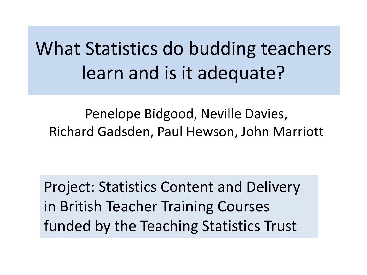What Statistics do budding teachers learn and is it adequate?

Penelope Bidgood, Neville Davies, Richard Gadsden, Paul Hewson, John Marriott

Project: Statistics Content and Delivery in British Teacher Training Courses funded by the Teaching Statistics Trust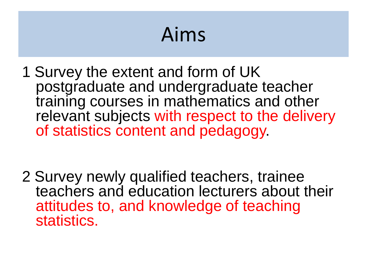# Aims

1 Survey the extent and form of UK postgraduate and undergraduate teacher training courses in mathematics and other relevant subjects with respect to the delivery of statistics content and pedagogy.

2 Survey newly qualified teachers, trainee teachers and education lecturers about their attitudes to, and knowledge of teaching statistics.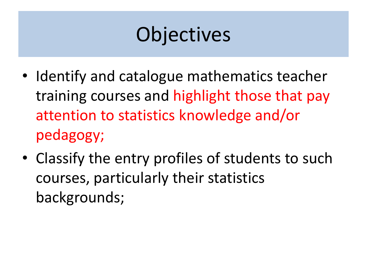## **Objectives**

- Identify and catalogue mathematics teacher training courses and highlight those that pay attention to statistics knowledge and/or pedagogy;
- Classify the entry profiles of students to such courses, particularly their statistics backgrounds;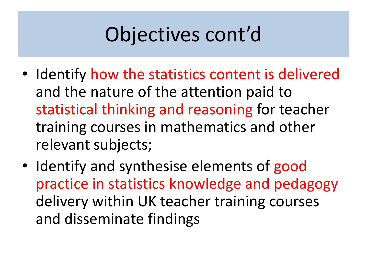# Objectives cont'd

- Identify how the statistics content is delivered and the nature of the attention paid to statistical thinking and reasoning for teacher training courses in mathematics and other relevant subjects;
- Identify and synthesise elements of good practice in statistics knowledge and pedagogy delivery within UK teacher training courses and disseminate findings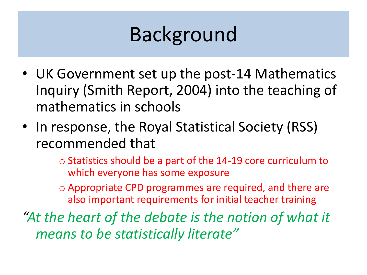## Background

- UK Government set up the post-14 Mathematics Inquiry (Smith Report, 2004) into the teaching of mathematics in schools
- In response, the Royal Statistical Society (RSS) recommended that
	- $\circ$  Statistics should be a part of the 14-19 core curriculum to which everyone has some exposure
	- o Appropriate CPD programmes are required, and there are also important requirements for initial teacher training

*"At the heart of the debate is the notion of what it means to be statistically literate"*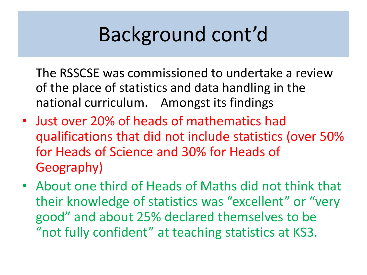## Background cont'd

The RSSCSE was commissioned to undertake a review of the place of statistics and data handling in the national curriculum. Amongst its findings

- Just over 20% of heads of mathematics had qualifications that did not include statistics (over 50% for Heads of Science and 30% for Heads of Geography)
- About one third of Heads of Maths did not think that their knowledge of statistics was "excellent" or "very good" and about 25% declared themselves to be "not fully confident" at teaching statistics at KS3.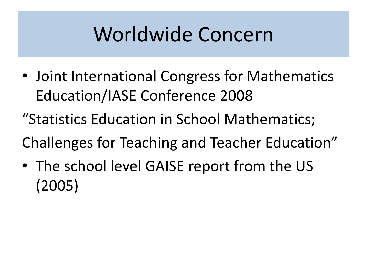## Worldwide Concern

- Joint International Congress for Mathematics Education/IASE Conference 2008
- "Statistics Education in School Mathematics;
- Challenges for Teaching and Teacher Education"
- The school level GAISE report from the US (2005)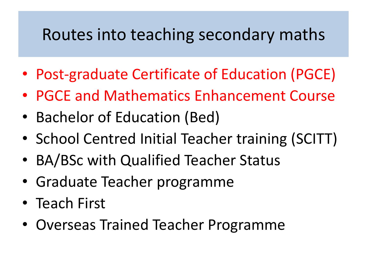#### Routes into teaching secondary maths

- Post-graduate Certificate of Education (PGCE)
- PGCE and Mathematics Enhancement Course
- Bachelor of Education (Bed)
- School Centred Initial Teacher training (SCITT)
- BA/BSc with Qualified Teacher Status
- Graduate Teacher programme
- Teach First
- Overseas Trained Teacher Programme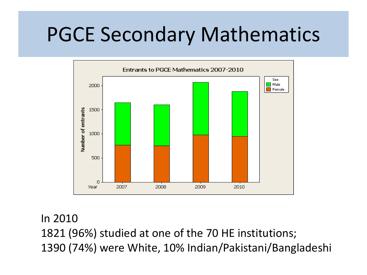### PGCE Secondary Mathematics



In 2010

1821 (96%) studied at one of the 70 HE institutions; 1390 (74%) were White, 10% Indian/Pakistani/Bangladeshi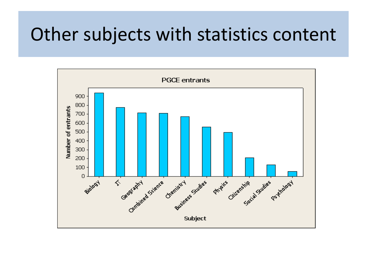### Other subjects with statistics content

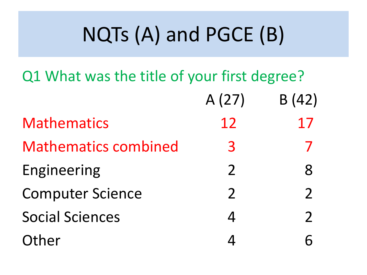# NQTs (A) and PGCE (B)

Q1 What was the title of your first degree?

|                             | A(27)          | B(42)         |
|-----------------------------|----------------|---------------|
| <b>Mathematics</b>          | 12             | 17            |
| <b>Mathematics combined</b> | 3              |               |
| Engineering                 | $\mathcal{P}$  | 8             |
| <b>Computer Science</b>     | $\overline{2}$ | $\mathcal{P}$ |
| <b>Social Sciences</b>      |                | $\mathcal{P}$ |
| Other                       |                |               |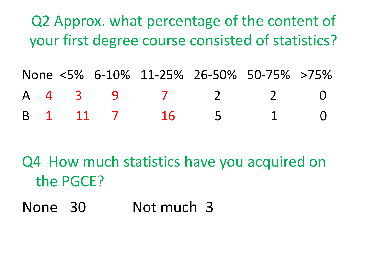Q2 Approx. what percentage of the content of your first degree course consisted of statistics?

None <5% 6-10% 11-25% 26-50% 50-75% >75% A 4 3 9 7 2 2 0 B 1 11 7 16 5 1 0

Q4 How much statistics have you acquired on the PGCE?

None 30 Not much 3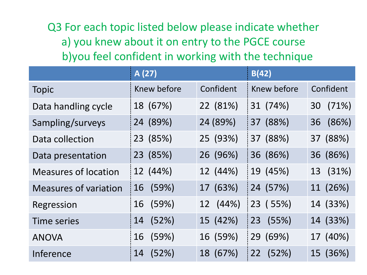Q3 For each topic listed below please indicate whether a) you knew about it on entry to the PGCE course b)you feel confident in working with the technique

|                              | A (27)      |           | B(42)       |           |
|------------------------------|-------------|-----------|-------------|-----------|
| <b>Topic</b>                 | Knew before | Confident | Knew before | Confident |
| Data handling cycle          | 18 (67%)    | 22 (81%)  | 31 (74%)    | 30 (71%)  |
| Sampling/surveys             | 24 (89%)    | 24 (89%)  | 37 (88%)    | 36 (86%)  |
| Data collection              | 23 (85%)    | 25 (93%)  | 37 (88%)    | 37 (88%)  |
| Data presentation            | 23 (85%)    | 26 (96%)  | 36 (86%)    | 36 (86%)  |
| <b>Measures of location</b>  | 12 (44%)    | 12 (44%)  | 19 (45%)    | 13 (31%)  |
| <b>Measures of variation</b> | (59%)<br>16 | 17 (63%)  | 24 (57%)    | 11 (26%)  |
| Regression                   | (59%)<br>16 | 12 (44%)  | 23 (55%)    | 14 (33%)  |
| <b>Time series</b>           | (52%)<br>14 | 15 (42%)  | 23 (55%)    | 14 (33%)  |
| <b>ANOVA</b>                 | (59%)<br>16 | 16 (59%)  | 29 (69%)    | 17 (40%)  |
| Inference                    | (52%)<br>14 | 18 (67%)  | (52%)<br>22 | 15 (36%)  |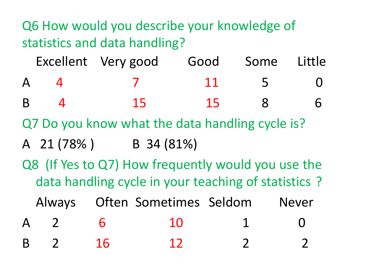Q6 How would you describe your knowledge of statistics and data handling?

|                | Excellent Very good Good Some Little |    |          |  |
|----------------|--------------------------------------|----|----------|--|
| $\mathsf{A}^-$ |                                      | 11 | $\sim$ 5 |  |
| R.             | 15                                   | 15 |          |  |

Q7 Do you know what the data handling cycle is?

- A 21 (78% ) B 34 (81%)
- Q8 (If Yes to Q7) How frequently would you use the data handling cycle in your teaching of statistics ?

Always Often Sometimes Seldom Never

A 2 6 10 1 0 B 2 16 12 2 2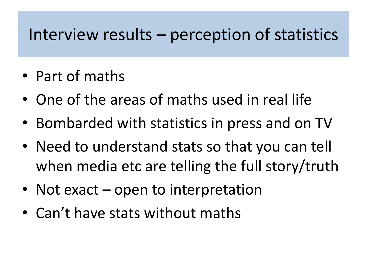#### Interview results – perception of statistics

- Part of maths
- One of the areas of maths used in real life
- Bombarded with statistics in press and on TV
- Need to understand stats so that you can tell when media etc are telling the full story/truth
- Not exact open to interpretation
- Can't have stats without maths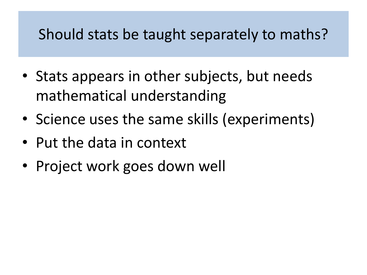#### Should stats be taught separately to maths?

- Stats appears in other subjects, but needs mathematical understanding
- Science uses the same skills (experiments)
- Put the data in context
- Project work goes down well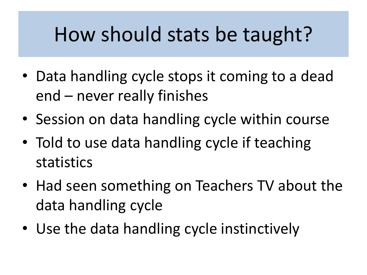## How should stats be taught?

- Data handling cycle stops it coming to a dead end – never really finishes
- Session on data handling cycle within course
- Told to use data handling cycle if teaching statistics
- Had seen something on Teachers TV about the data handling cycle
- Use the data handling cycle instinctively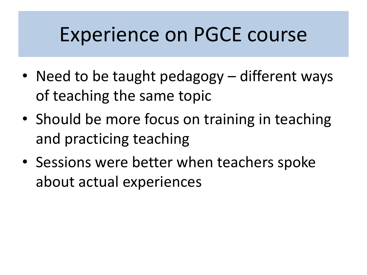### Experience on PGCE course

- Need to be taught pedagogy different ways of teaching the same topic
- Should be more focus on training in teaching and practicing teaching
- Sessions were better when teachers spoke about actual experiences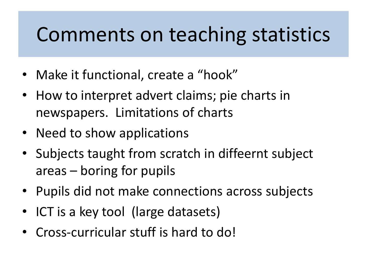## Comments on teaching statistics

- Make it functional, create a "hook"
- How to interpret advert claims; pie charts in newspapers. Limitations of charts
- Need to show applications
- Subjects taught from scratch in diffeernt subject areas – boring for pupils
- Pupils did not make connections across subjects
- ICT is a key tool (large datasets)
- Cross-curricular stuff is hard to do!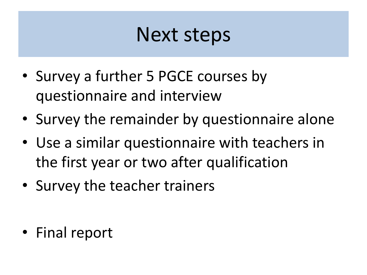### Next steps

- Survey a further 5 PGCE courses by questionnaire and interview
- Survey the remainder by questionnaire alone
- Use a similar questionnaire with teachers in the first year or two after qualification
- Survey the teacher trainers

• Final report